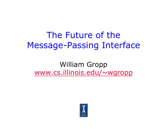#### The Future of the Message-Passing Interface

#### William Gropp www.cs.illinois.edu/~wgropp

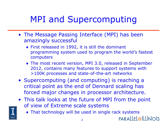# MPI and Supercomputing

- The Message Passing Interface (MPI) has been amazingly successful
	- ♦ First released in 1992, it is still the dominant programming system used to program the world's fastest computers
	- ♦ The most recent version, MPI 3.0, released in September 2012, contains many features to support systems with >100K processes and state-of-the-art networks
- Supercomputing (and computing) is reaching a critical point as the end of Dennard scaling has forced major changes in processor architecture.
- This talk looks at the future of MPI from the point of view of Extreme scale systems

PARALLEL@ILLINOIS

♦ That technology will be used in single rack systems

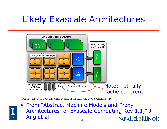# Likely Exascale Architectures



Figure 2.1: Abstract Machine Model of an exascale Node Architecture



3 • From "Abstract Machine Models and Proxy Architectures for Exascale Computing Rev 1.1," J **THE BEGIN WITH Ang et al single model that highlights the anticipated key hardware architectural features that may be a single model that may be a single model that may be a single model feature architectural features tha** 2.1 Out Those age Theory paralle l@IllINOIS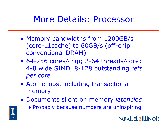#### More Details: Processor

- Memory bandwidths from 1200GB/s (core-L1cache) to 60GB/s (off-chip conventional DRAM)
- 64-256 cores/chip; 2-64 threads/core; 4-8 wide SIMD, 8-128 outstanding refs *per core*
- Atomic ops, including transactional memory
- Documents silent on memory *latencies* 
	- ♦ Probably because numbers are uninspiring

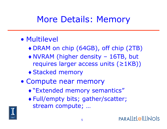## More Details: Memory

#### • Multilevel

- ♦ DRAM on chip (64GB), off chip (2TB)
- ♦ NVRAM (higher density 16TB, but requires larger access units  $(≥1KB)$ )
- ♦ Stacked memory
- Compute near memory
	- ♦ "Extended memory semantics"
	- ♦ Full/empty bits; gather/scatter; stream compute; …

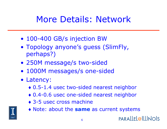# More Details: Network

- 100-400 GB/s injection BW
- Topology anyone's guess (SlimFly, perhaps?)
- 250M message/s two-sided
- 1000M messages/s one-sided
- Latency:
	- ♦ 0.5-1.4 usec two-sided nearest neighbor
	- ♦ 0.4-0.6 usec one-sided nearest neighbor
	- ◆ 3-5 usec cross machine



♦ Note: about the **same** as current systems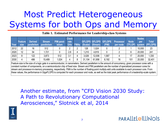# Most Predict Heterogeneous Systems for both Ops and Memory

**Table 1. Estimated Performance for Leadership-class Systems**

| Year | <b>Feature</b><br>size | <b>Derived</b><br>parallelism | <b>Stream</b><br>parallelism | PIM paral-<br><b>lelism</b> | <b>Clock</b><br>rate<br><b>GHz</b> | <b>FMAS</b> |        | (Scalar) (Stream) | GFLOPS GFLOPS GFLOPS<br>(PIM) | <b>Processor</b><br>per node | <b>Node</b><br>(TFLOP) | <b>Nodes</b><br>per<br><b>system</b> | <b>Total</b><br>(PFLOPS) |
|------|------------------------|-------------------------------|------------------------------|-----------------------------|------------------------------------|-------------|--------|-------------------|-------------------------------|------------------------------|------------------------|--------------------------------------|--------------------------|
| 2012 | 22                     | 16                            | 512                          |                             |                                    |             | 128    | .024              |                               |                              |                        | 10,000                               | 23                       |
| 2020 | 12                     | 54                            | 1,721                        |                             | 2.8                                |             | ,210   | 4,819             |                               |                              |                        | 20,000                               | 241                      |
| 2023 | 8                      | 122                           | 3,873                        | 512                         | 3.1                                |             | 3,026  | 12,006            | ,587                          |                              |                        | 20,000                               | 1,330                    |
| 2030 | 4                      | 486                           | 15,489                       | 1,024                       |                                    | 8           | 31,104 | 61,956            | 8,192                         | 16                           | 101                    | 20,000                               | 32,401                   |

Feature size is the size of a logic gate in a semiconductor, in nanometers. Derived parallelism is the amount of concurrency, given processor cores with a constant number of components, on a semiconductor chip of fixed size. Stream and PIM parallelism are the number of specialized processor cores for stream and processor-in-memory processing, respectively. FMA is the number of floating-point multiply-add units available to each processor core. From these values, the performance in GigaFLOPS is computed for each processor and node, as well as the total peak performance of a leadership-scale system.

Another octimate from Andence coentract, rivin in-memory elements, reflection and a distribution and different optimization and a different optimization and for  $\mathbf{r}$  speed and  $\mathbf{r}$ ACIUSCICIICES, JIULIIICH  $\mathbf{F}$  and  $\mathbf{F}$  models with  $\mathbf{F}$ Another estimate, from "CFD Vision 2030 Study: gramming models. Programmers need to be able to be able to be able to be able to  $\ell$ A Path to Revolutionary Computational  $\overline{Q}$  probability is an example of a new probability is an example of a new probability is an example of a new probability is a new probability in the set of a new probability is a new probability in the set of a new p Aerosciences," Slotnick et al, 2014

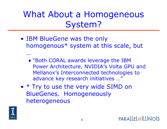What About a Homogeneous System?

- IBM BlueGene was the only homogenous\* system at this scale, but
	- ♦ "Both CORAL awards leverage the IBM Power Architecture, NVIDIA's Volta GPU and Mellanox's Interconnected technologies to advance key research initiatives …"
- \* Try to use the very wide SIMD on BlueGenes. Homogeneously heterogeneous



…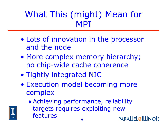## What This (might) Mean for MPI

- Lots of innovation in the processor and the node
- More complex memory hierarchy; no chip-wide cache coherence
- Tightly integrated NIC
- Execution model becoming more complex
	- ♦ Achieving performance, reliability targets requires exploiting new features

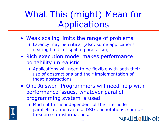# What This (might) Mean for Applications

- Weak scaling limits the range of problems
	- ♦ Latency may be critical (also, some applications nearing limits of spatial parallelism)
- Rich execution model makes performance portability unrealistic
	- ♦ Applications will need to be flexible with both their use of abstractions and their implementation of those abstractions
- One Answer: Programmers will need help with performance issues, whatever parallel programming system is used



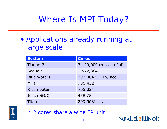## Where Is MPI Today?

• Applications already running at large scale:

| <b>System</b>      | <b>Cores</b>            |
|--------------------|-------------------------|
| Tianhe-2           | 3,120,000 (most in Phi) |
| Sequoia            | 1,572,864               |
| <b>Blue Waters</b> | 792,064 $*$ + 1/6 acc   |
| Mira               | 786,432                 |
| K computer         | 705,024                 |
| Julich BG/Q        | 458,752                 |
| Titan              | $299,008* + acc$        |



\* 2 cores share a wide FP unit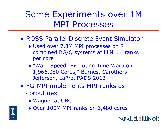## Some Experiments over 1M MPI Processes

- ROSS Parallel Discrete Event Simulator
	- ♦ Used over 7.8M MPI processes on 2 combined BG/Q systems at LLNL, 4 ranks per core
	- ♦ "Warp Speed: Executing Time Warp on 1,966,080 Cores," Barnes, Carothers Jefferson, LaPre, PADS 2013
- FG-MPI implements MPI ranks as coroutines
	- ♦ Wagner at UBC
	- ♦ Over 100M MPI ranks on 6,480 cores

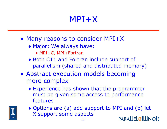#### MPI+X

- Many reasons to consider MPI+X
	- ♦ Major: We always have:
		- MPI+C, MPI+Fortran
	- ♦ Both C11 and Fortran include support of parallelism (shared and distributed memory)
- Abstract execution models becoming more complex
	- ♦ Experience has shown that the programmer must be given some access to performance features



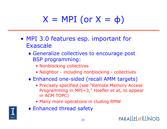# $X = MPI$  (or  $X = \phi$ )

- MPI 3.0 features esp. important for Exascale
	- ♦ Generalize collectives to encourage post BSP programming:
		- Nonblocking collectives
		- Neighbor including nonblocking collectives
	- ♦ Enhanced one-sided (recall AMM targets)
		- Precisely specified (see "Remote Memory Access Programming in MPI=3," Hoefler et at, to appear in ACM TOPC)
		- Many more operations in cluding RMW
	- ♦ Enhanced thread safety



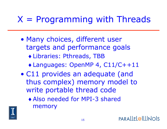## $X$  = Programming with Threads

- Many choices, different user targets and performance goals ♦ Libraries: Pthreads, TBB
	- ♦ Languages: OpenMP 4, C11/C++11
- C11 provides an adequate (and thus complex) memory model to write portable thread code
	- ♦ Also needed for MPI-3 shared memory

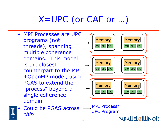# X=UPC (or CAF or …)

• MPI Processes are UPC programs (not threads), spanning multiple coherence domains. This model is the closest counterpart to the MPI +OpenMP model, using PGAS to extend the "process" beyond a single coherence domain.



• Could be PGAS across *chip*

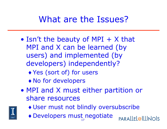#### What are the Issues?

- Isn't the beauty of MPI  $+$  X that MPI and X can be learned (by users) and implemented (by developers) independently?
	- ♦ Yes (sort of) for users
	- ♦ No for developers
- MPI and X must either partition or share resources



- ♦ User must not blindly oversubscribe
- 17 ♦ Developers must negotiate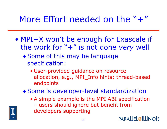#### More Effort needed on the  $" +"$

- MPI+X won't be enough for Exascale if the work for "+" is not done *very* well
	- ♦ Some of this may be language specification:
		- User-provided guidance on resource allocation, e.g., MPI\_Info hints; thread-based endpoints
	- ♦ Some is developer-level standardization
		- A simple example is the MPI ABI specification – users should ignore but benefit from developers supporting

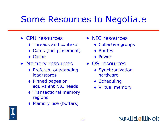#### Some Resources to Negotiate

- CPU resources
	- ♦ Threads and contexts
	- ♦ Cores (incl placement)
	- $\bullet$  Cache
- Memory resources
	- ♦ Prefetch, outstanding load/stores
	- ♦ Pinned pages or equivalent NIC needs
	- ♦ Transactional memory regions
	- ♦ Memory use (buffers)
- NIC resources
	- ♦ Collective groups
	- ♦ Routes
	- ♦ Power
- OS resources
	- ♦ Synchronization hardware
	- ♦ Scheduling
	- ♦ Virtual memory



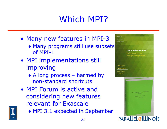# Which MPI?

- Many new features in MPI-3
	- ♦ Many programs still use subsets of MPI-1
- MPI implementations still improving
	- ♦ A long process harmed by non-standard shortcuts
- MPI Forum is active and considering new features relevant for Exascale
- 

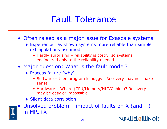#### Fault Tolerance

- Often raised as a major issue for Exascale systems
	- ♦ Experience has shown systems more reliable than simple extrapolations assumed
		- Hardly surprising reliability is costly, so systems engineered only to the reliability needed
- Major question: What is the fault model?
	- ♦ Process failure (why)
		- Software then program is buggy. Recovery may not make sense
		- Hardware Where (CPU/Memory/NIC/Cables)? Recovery may be easy or impossible
	- ◆ Silent data corruption

Unsolved problem – impact of faults on  $X$  (and  $+)$ in MPI+X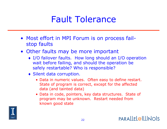#### Fault Tolerance

- Most effort in MPI Forum is on process failstop faults
- Other faults may be more important
	- ♦ I/O failover faults. How long should an I/O operation wait before failing, and should the operation be safely restartable? Who is responsible?
	- ♦ Silent data corruption.
		- Data in numeric values. Often easy to define restart. State of program is correct, except for the affected data (and tainted data)
		- Data in code, pointers, key data structures. State of program may be unknown. Restart needed from known good state

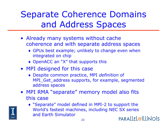# Separate Coherence Domains and Address Spaces

- Already many systems without cache coherence and with separate address spaces
	- ♦ GPUs best example; unlikely to change even when integrated on chip
	- ♦ OpenACC an "X" that supports this
- MPI designed for this case
	- ♦ Despite common practice, MPI *definition* of MPI\_Get\_address supports, for example, segmented address spaces
- MPI RMA "separate" memory model also fits this case



♦ "Separate" model defined in MPI-2 to support the World's fastest machines, including NEC SX series and Earth Simulator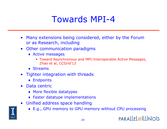#### Towards MPI-4

- Many extensions being considered, either by the Forum or as Research, including
- Other communication paradigms
	- ♦ Active messages
		- Toward Asynchronous and MPI-Interoperable Active Messages, Zhao et al, CCGrid'13
	- $\triangle$  Streams
- Tighter integration with threads
	- ♦ Endpoints
- Data centric
	- ♦ More flexible datatypes
	- ♦ Faster datatype implementations
- Unified address space handling
	- ♦ E.g., GPU memory to GPU memory without CPU processing

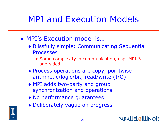# MPI and Execution Models

- MPI's Execution model is…
	- ♦ Blissfully simple: Communicating Sequential **Processes** 
		- Some complexity in communication, esp. MPI-3 one-sided
	- ♦ Process operations are copy, pointwise arithmetic/logic/bit, read/write (I/O)
	- ♦ MPI adds two-party and group synchronization and operations
	- ♦ No performance guarantees
	- ♦ Deliberately vague on progress

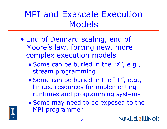## MPI and Exascale Execution Models

- End of Dennard scaling, end of Moore's law, forcing new, more complex execution models
	- ♦ Some can be buried in the "X", e.g., stream programming
	- ♦ Some can be buried in the "+", e.g., limited resources for implementing runtimes and programming systems
	- ♦ Some may need to be exposed to the MPI programmer

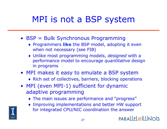## MPI is not a BSP system

- BSP = Bulk Synchronous Programming
	- ♦ Programmers **like** the BSP model, adopting it even when not necessary (see FIB)
	- ♦ Unlike most programming models, *designed* with a performance model to encourage *quantitative* design in programs
- MPI makes it easy to emulate a BSP system
	- ♦ Rich set of collectives, barriers, blocking operations
- MPI (even MPI-1) sufficient for dynamic adaptive programming
	- ♦ The main issues are performance and "progress"
	- ♦ Improving implementations and better HW support for integrated CPU/NIC coordination the answer

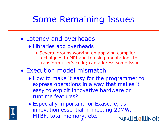## Some Remaining Issues

#### • Latency and overheads

- ♦ Libraries add overheads
	- Several groups working on applying compiler techniques to MPI and to using annotations to transform user's code; can address some issue
- Execution model mismatch
	- ♦ How to make it easy for the programmer to express operations in a way that makes it easy to exploit innovative hardware or runtime features?



♦ Especially important for Exascale, as innovation essential in meeting 20MW, MTBF, total memory, etc.PARALLEL@ILLINOIS 28